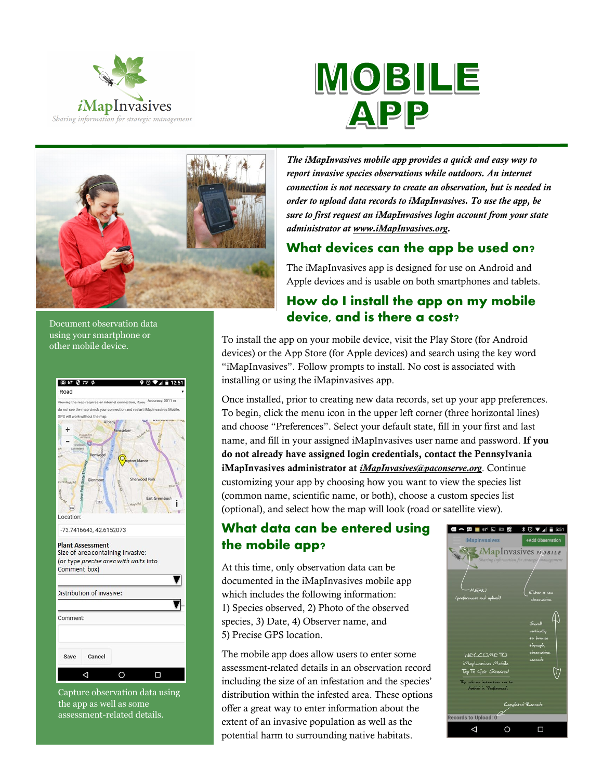





Document observation data using your smartphone or other mobile device.



Capture observation data using the app as well as some assessment-related details.

*The iMapInvasives mobile app provides a quick and easy way to report invasive species observations while outdoors. An internet connection is not necessary to create an observation, but is needed in order to upload data records to iMapInvasives. To use the app, be sure to first request an iMapInvasives login account from your state administrator at www.iMapInvasives.org.* 

## **What devices can the app be used on?**

The iMapInvasives app is designed for use on Android and Apple devices and is usable on both smartphones and tablets.

# **How do I install the app on my mobile device, and is there a cost?**

To install the app on your mobile device, visit the Play Store (for Android devices) or the App Store (for Apple devices) and search using the key word "iMapInvasives". Follow prompts to install. No cost is associated with installing or using the iMapinvasives app.

Once installed, prior to creating new data records, set up your app preferences. To begin, click the menu icon in the upper left corner (three horizontal lines) and choose "Preferences". Select your default state, fill in your first and last name, and fill in your assigned iMapInvasives user name and password. **If you do not already have assigned login credentials, contact the Pennsylvania iMapInvasives administrator at** *iMapInvasives@paconserve.org*. Continue customizing your app by choosing how you want to view the species list (common name, scientific name, or both), choose a custom species list (optional), and select how the map will look (road or satellite view).

## **What data can be entered using the mobile app?**

At this time, only observation data can be documented in the iMapInvasives mobile app which includes the following information: 1) Species observed, 2) Photo of the observed species, 3) Date, 4) Observer name, and 5) Precise GPS location.

The mobile app does allow users to enter some assessment-related details in an observation record including the size of an infestation and the species' distribution within the infested area. These options offer a great way to enter information about the extent of an invasive population as well as the potential harm to surrounding native habitats.